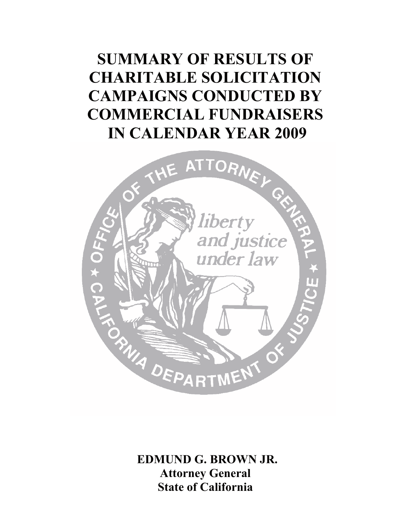# **SUMMARY OF RESULTS OF CHARITABLE SOLICITATION CAMPAIGNS CONDUCTED BY COMMERCIAL FUNDRAISERS IN CALENDAR YEAR 2009**



 **EDMUND G. BROWN JR. Attorney General State of California**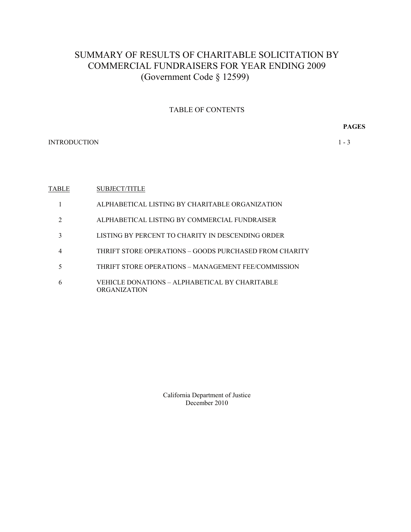# SUMMARY OF RESULTS OF CHARITABLE SOLICITATION BY COMMERCIAL FUNDRAISERS FOR YEAR ENDING 2009 (Government Code § 12599)

### TABLE OF CONTENTS

**PAGES** 

INTRODUCTION 1 - 3

#### **TABLE** SUBJECT/TITLE

- 1 ALPHABETICAL LISTING BY CHARITABLE ORGANIZATION
- 2 ALPHABETICAL LISTING BY COMMERCIAL FUNDRAISER
- 3 LISTING BY PERCENT TO CHARITY IN DESCENDING ORDER
- 4 THRIFT STORE OPERATIONS GOODS PURCHASED FROM CHARITY
- 5 THRIFT STORE OPERATIONS MANAGEMENT FEE/COMMISSION
- 6 VEHICLE DONATIONS ALPHABETICAL BY CHARITABLE ORGANIZATION

California Department of Justice December 2010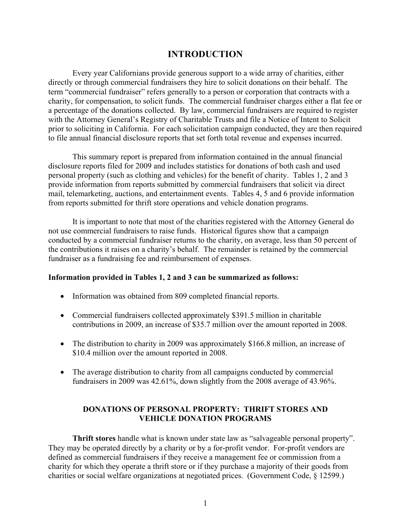# **INTRODUCTION**

Every year Californians provide generous support to a wide array of charities, either directly or through commercial fundraisers they hire to solicit donations on their behalf. The term "commercial fundraiser" refers generally to a person or corporation that contracts with a charity, for compensation, to solicit funds. The commercial fundraiser charges either a flat fee or a percentage of the donations collected. By law, commercial fundraisers are required to register with the Attorney General's Registry of Charitable Trusts and file a Notice of Intent to Solicit prior to soliciting in California. For each solicitation campaign conducted, they are then required to file annual financial disclosure reports that set forth total revenue and expenses incurred.

This summary report is prepared from information contained in the annual financial disclosure reports filed for 2009 and includes statistics for donations of both cash and used personal property (such as clothing and vehicles) for the benefit of charity. Tables 1, 2 and 3 provide information from reports submitted by commercial fundraisers that solicit via direct mail, telemarketing, auctions, and entertainment events. Tables 4, 5 and 6 provide information from reports submitted for thrift store operations and vehicle donation programs.

It is important to note that most of the charities registered with the Attorney General do not use commercial fundraisers to raise funds. Historical figures show that a campaign conducted by a commercial fundraiser returns to the charity, on average, less than 50 percent of the contributions it raises on a charity's behalf. The remainder is retained by the commercial fundraiser as a fundraising fee and reimbursement of expenses.

### **Information provided in Tables 1, 2 and 3 can be summarized as follows:**

- Information was obtained from 809 completed financial reports.
- Commercial fundraisers collected approximately \$391.5 million in charitable contributions in 2009, an increase of \$35.7 million over the amount reported in 2008.
- The distribution to charity in 2009 was approximately \$166.8 million, an increase of \$10.4 million over the amount reported in 2008.
- The average distribution to charity from all campaigns conducted by commercial fundraisers in 2009 was 42.61%, down slightly from the 2008 average of 43.96%.

# **DONATIONS OF PERSONAL PROPERTY: THRIFT STORES AND VEHICLE DONATION PROGRAMS**

**Thrift stores** handle what is known under state law as "salvageable personal property". They may be operated directly by a charity or by a for-profit vendor. For-profit vendors are defined as commercial fundraisers if they receive a management fee or commission from a charity for which they operate a thrift store or if they purchase a majority of their goods from charities or social welfare organizations at negotiated prices. (Government Code, § 12599.)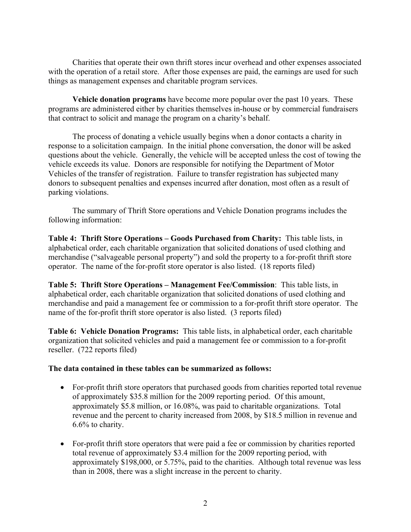Charities that operate their own thrift stores incur overhead and other expenses associated with the operation of a retail store. After those expenses are paid, the earnings are used for such things as management expenses and charitable program services.

**Vehicle donation programs** have become more popular over the past 10 years. These programs are administered either by charities themselves in-house or by commercial fundraisers that contract to solicit and manage the program on a charity's behalf.

The process of donating a vehicle usually begins when a donor contacts a charity in response to a solicitation campaign. In the initial phone conversation, the donor will be asked questions about the vehicle. Generally, the vehicle will be accepted unless the cost of towing the vehicle exceeds its value. Donors are responsible for notifying the Department of Motor Vehicles of the transfer of registration. Failure to transfer registration has subjected many donors to subsequent penalties and expenses incurred after donation, most often as a result of parking violations.

The summary of Thrift Store operations and Vehicle Donation programs includes the following information:

 **Table 4: Thrift Store Operations – Goods Purchased from Charity:** This table lists, in alphabetical order, each charitable organization that solicited donations of used clothing and merchandise ("salvageable personal property") and sold the property to a for-profit thrift store operator. The name of the for-profit store operator is also listed. (18 reports filed)

**Table 5: Thrift Store Operations – Management Fee/Commission**: This table lists, in alphabetical order, each charitable organization that solicited donations of used clothing and merchandise and paid a management fee or commission to a for-profit thrift store operator. The name of the for-profit thrift store operator is also listed. (3 reports filed)

**Table 6: Vehicle Donation Programs:** This table lists, in alphabetical order, each charitable organization that solicited vehicles and paid a management fee or commission to a for-profit reseller. (722 reports filed)

# **The data contained in these tables can be summarized as follows:**

- For-profit thrift store operators that purchased goods from charities reported total revenue of approximately \$35.8 million for the 2009 reporting period. Of this amount, approximately \$5.8 million, or 16.08%, was paid to charitable organizations. Total revenue and the percent to charity increased from 2008, by \$18.5 million in revenue and 6.6% to charity.
- For-profit thrift store operators that were paid a fee or commission by charities reported total revenue of approximately \$3.4 million for the 2009 reporting period, with approximately \$198,000, or 5.75%, paid to the charities. Although total revenue was less than in 2008, there was a slight increase in the percent to charity.